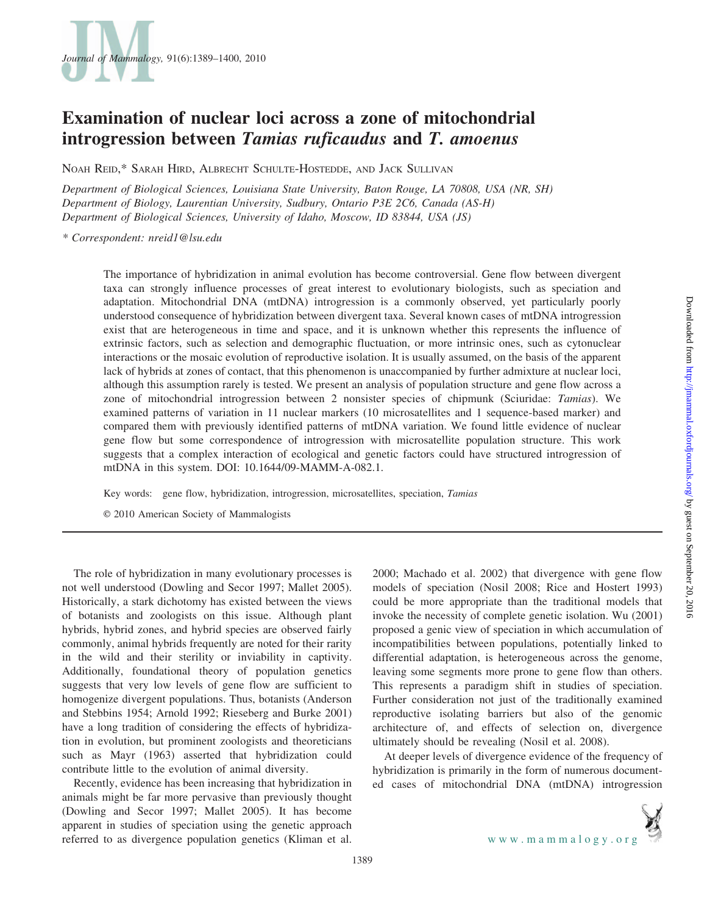

# Examination of nuclear loci across a zone of mitochondrial introgression between Tamias ruficaudus and T. amoenus

NOAH REID,\* SARAH HIRD, ALBRECHT SCHULTE-HOSTEDDE, AND JACK SULLIVAN

Department of Biological Sciences, Louisiana State University, Baton Rouge, LA 70808, USA (NR, SH) Department of Biology, Laurentian University, Sudbury, Ontario P3E 2C6, Canada (AS-H) Department of Biological Sciences, University of Idaho, Moscow, ID 83844, USA (JS)

\* Correspondent: nreid1@lsu.edu

The importance of hybridization in animal evolution has become controversial. Gene flow between divergent taxa can strongly influence processes of great interest to evolutionary biologists, such as speciation and adaptation. Mitochondrial DNA (mtDNA) introgression is a commonly observed, yet particularly poorly understood consequence of hybridization between divergent taxa. Several known cases of mtDNA introgression exist that are heterogeneous in time and space, and it is unknown whether this represents the influence of extrinsic factors, such as selection and demographic fluctuation, or more intrinsic ones, such as cytonuclear interactions or the mosaic evolution of reproductive isolation. It is usually assumed, on the basis of the apparent lack of hybrids at zones of contact, that this phenomenon is unaccompanied by further admixture at nuclear loci, although this assumption rarely is tested. We present an analysis of population structure and gene flow across a zone of mitochondrial introgression between 2 nonsister species of chipmunk (Sciuridae: Tamias). We examined patterns of variation in 11 nuclear markers (10 microsatellites and 1 sequence-based marker) and compared them with previously identified patterns of mtDNA variation. We found little evidence of nuclear gene flow but some correspondence of introgression with microsatellite population structure. This work suggests that a complex interaction of ecological and genetic factors could have structured introgression of mtDNA in this system. DOI: 10.1644/09-MAMM-A-082.1.

Key words: gene flow, hybridization, introgression, microsatellites, speciation, Tamias

E 2010 American Society of Mammalogists

The role of hybridization in many evolutionary processes is not well understood (Dowling and Secor 1997; Mallet 2005). Historically, a stark dichotomy has existed between the views of botanists and zoologists on this issue. Although plant hybrids, hybrid zones, and hybrid species are observed fairly commonly, animal hybrids frequently are noted for their rarity in the wild and their sterility or inviability in captivity. Additionally, foundational theory of population genetics suggests that very low levels of gene flow are sufficient to homogenize divergent populations. Thus, botanists (Anderson and Stebbins 1954; Arnold 1992; Rieseberg and Burke 2001) have a long tradition of considering the effects of hybridization in evolution, but prominent zoologists and theoreticians such as Mayr (1963) asserted that hybridization could contribute little to the evolution of animal diversity.

Recently, evidence has been increasing that hybridization in animals might be far more pervasive than previously thought (Dowling and Secor 1997; Mallet 2005). It has become apparent in studies of speciation using the genetic approach referred to as divergence population genetics (Kliman et al.

2000; Machado et al. 2002) that divergence with gene flow models of speciation (Nosil 2008; Rice and Hostert 1993) could be more appropriate than the traditional models that invoke the necessity of complete genetic isolation. Wu (2001) proposed a genic view of speciation in which accumulation of incompatibilities between populations, potentially linked to differential adaptation, is heterogeneous across the genome, leaving some segments more prone to gene flow than others. This represents a paradigm shift in studies of speciation. Further consideration not just of the traditionally examined reproductive isolating barriers but also of the genomic architecture of, and effects of selection on, divergence ultimately should be revealing (Nosil et al. 2008).

At deeper levels of divergence evidence of the frequency of hybridization is primarily in the form of numerous documented cases of mitochondrial DNA (mtDNA) introgression

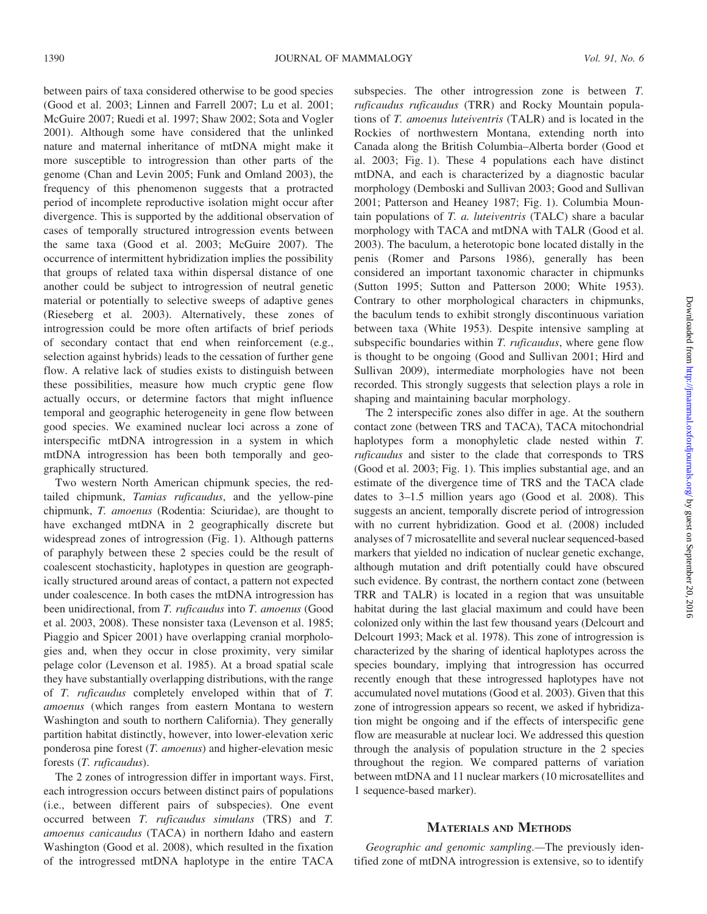between pairs of taxa considered otherwise to be good species (Good et al. 2003; Linnen and Farrell 2007; Lu et al. 2001; McGuire 2007; Ruedi et al. 1997; Shaw 2002; Sota and Vogler 2001). Although some have considered that the unlinked nature and maternal inheritance of mtDNA might make it more susceptible to introgression than other parts of the genome (Chan and Levin 2005; Funk and Omland 2003), the frequency of this phenomenon suggests that a protracted period of incomplete reproductive isolation might occur after divergence. This is supported by the additional observation of cases of temporally structured introgression events between the same taxa (Good et al. 2003; McGuire 2007). The occurrence of intermittent hybridization implies the possibility that groups of related taxa within dispersal distance of one another could be subject to introgression of neutral genetic material or potentially to selective sweeps of adaptive genes (Rieseberg et al. 2003). Alternatively, these zones of introgression could be more often artifacts of brief periods of secondary contact that end when reinforcement (e.g., selection against hybrids) leads to the cessation of further gene flow. A relative lack of studies exists to distinguish between these possibilities, measure how much cryptic gene flow actually occurs, or determine factors that might influence temporal and geographic heterogeneity in gene flow between good species. We examined nuclear loci across a zone of interspecific mtDNA introgression in a system in which mtDNA introgression has been both temporally and geographically structured.

Two western North American chipmunk species, the redtailed chipmunk, Tamias ruficaudus, and the yellow-pine chipmunk, T. amoenus (Rodentia: Sciuridae), are thought to have exchanged mtDNA in 2 geographically discrete but widespread zones of introgression (Fig. 1). Although patterns of paraphyly between these 2 species could be the result of coalescent stochasticity, haplotypes in question are geographically structured around areas of contact, a pattern not expected under coalescence. In both cases the mtDNA introgression has been unidirectional, from T. ruficaudus into T. amoenus (Good et al. 2003, 2008). These nonsister taxa (Levenson et al. 1985; Piaggio and Spicer 2001) have overlapping cranial morphologies and, when they occur in close proximity, very similar pelage color (Levenson et al. 1985). At a broad spatial scale they have substantially overlapping distributions, with the range of T. ruficaudus completely enveloped within that of T. amoenus (which ranges from eastern Montana to western Washington and south to northern California). They generally partition habitat distinctly, however, into lower-elevation xeric ponderosa pine forest  $(T.$  amoenus) and higher-elevation mesic forests (T. ruficaudus).

The 2 zones of introgression differ in important ways. First, each introgression occurs between distinct pairs of populations (i.e., between different pairs of subspecies). One event occurred between T. ruficaudus simulans (TRS) and T. amoenus canicaudus (TACA) in northern Idaho and eastern Washington (Good et al. 2008), which resulted in the fixation of the introgressed mtDNA haplotype in the entire TACA subspecies. The other introgression zone is between T. ruficaudus ruficaudus (TRR) and Rocky Mountain populations of T. amoenus luteiventris (TALR) and is located in the Rockies of northwestern Montana, extending north into Canada along the British Columbia–Alberta border (Good et al. 2003; Fig. 1). These 4 populations each have distinct mtDNA, and each is characterized by a diagnostic bacular morphology (Demboski and Sullivan 2003; Good and Sullivan 2001; Patterson and Heaney 1987; Fig. 1). Columbia Mountain populations of T. a. luteiventris (TALC) share a bacular morphology with TACA and mtDNA with TALR (Good et al. 2003). The baculum, a heterotopic bone located distally in the penis (Romer and Parsons 1986), generally has been considered an important taxonomic character in chipmunks (Sutton 1995; Sutton and Patterson 2000; White 1953). Contrary to other morphological characters in chipmunks, the baculum tends to exhibit strongly discontinuous variation between taxa (White 1953). Despite intensive sampling at subspecific boundaries within T. ruficaudus, where gene flow is thought to be ongoing (Good and Sullivan 2001; Hird and Sullivan 2009), intermediate morphologies have not been recorded. This strongly suggests that selection plays a role in shaping and maintaining bacular morphology.

The 2 interspecific zones also differ in age. At the southern contact zone (between TRS and TACA), TACA mitochondrial haplotypes form a monophyletic clade nested within T. ruficaudus and sister to the clade that corresponds to TRS (Good et al. 2003; Fig. 1). This implies substantial age, and an estimate of the divergence time of TRS and the TACA clade dates to 3–1.5 million years ago (Good et al. 2008). This suggests an ancient, temporally discrete period of introgression with no current hybridization. Good et al. (2008) included analyses of 7 microsatellite and several nuclear sequenced-based markers that yielded no indication of nuclear genetic exchange, although mutation and drift potentially could have obscured such evidence. By contrast, the northern contact zone (between TRR and TALR) is located in a region that was unsuitable habitat during the last glacial maximum and could have been colonized only within the last few thousand years (Delcourt and Delcourt 1993; Mack et al. 1978). This zone of introgression is characterized by the sharing of identical haplotypes across the species boundary, implying that introgression has occurred recently enough that these introgressed haplotypes have not accumulated novel mutations (Good et al. 2003). Given that this zone of introgression appears so recent, we asked if hybridization might be ongoing and if the effects of interspecific gene flow are measurable at nuclear loci. We addressed this question through the analysis of population structure in the 2 species throughout the region. We compared patterns of variation between mtDNA and 11 nuclear markers (10 microsatellites and 1 sequence-based marker).

## MATERIALS AND METHODS

Geographic and genomic sampling.—The previously identified zone of mtDNA introgression is extensive, so to identify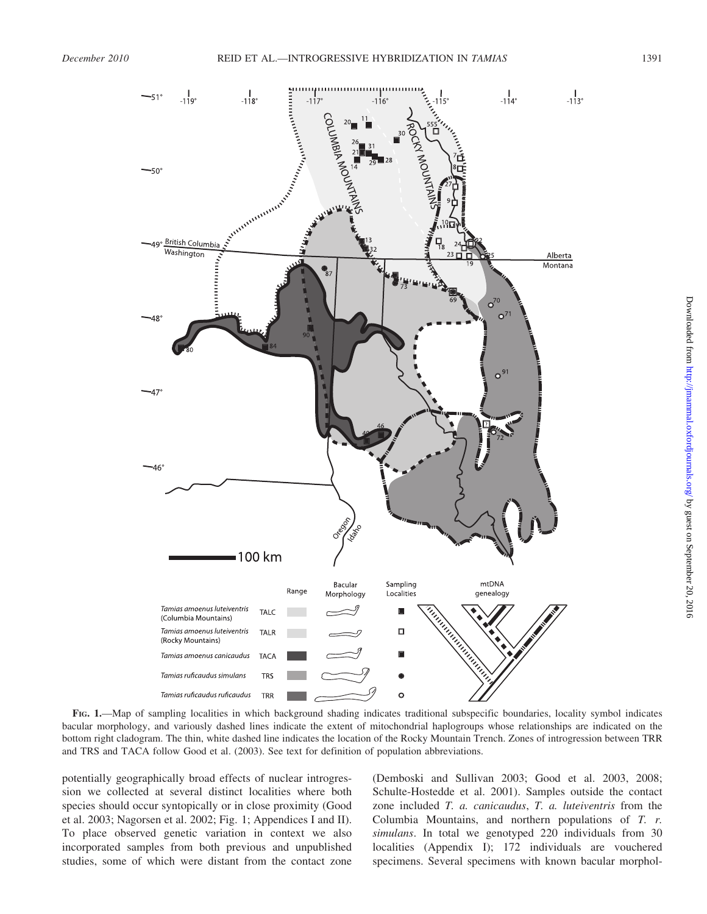

FIG. 1.—Map of sampling localities in which background shading indicates traditional subspecific boundaries, locality symbol indicates bacular morphology, and variously dashed lines indicate the extent of mitochondrial haplogroups whose relationships are indicated on the bottom right cladogram. The thin, white dashed line indicates the location of the Rocky Mountain Trench. Zones of introgression between TRR and TRS and TACA follow Good et al. (2003). See text for definition of population abbreviations.

potentially geographically broad effects of nuclear introgression we collected at several distinct localities where both species should occur syntopically or in close proximity (Good et al. 2003; Nagorsen et al. 2002; Fig. 1; Appendices I and II). To place observed genetic variation in context we also incorporated samples from both previous and unpublished studies, some of which were distant from the contact zone

(Demboski and Sullivan 2003; Good et al. 2003, 2008; Schulte-Hostedde et al. 2001). Samples outside the contact zone included T. a. canicaudus, T. a. luteiventris from the Columbia Mountains, and northern populations of T. r. simulans. In total we genotyped 220 individuals from 30 localities (Appendix I); 172 individuals are vouchered specimens. Several specimens with known bacular morphol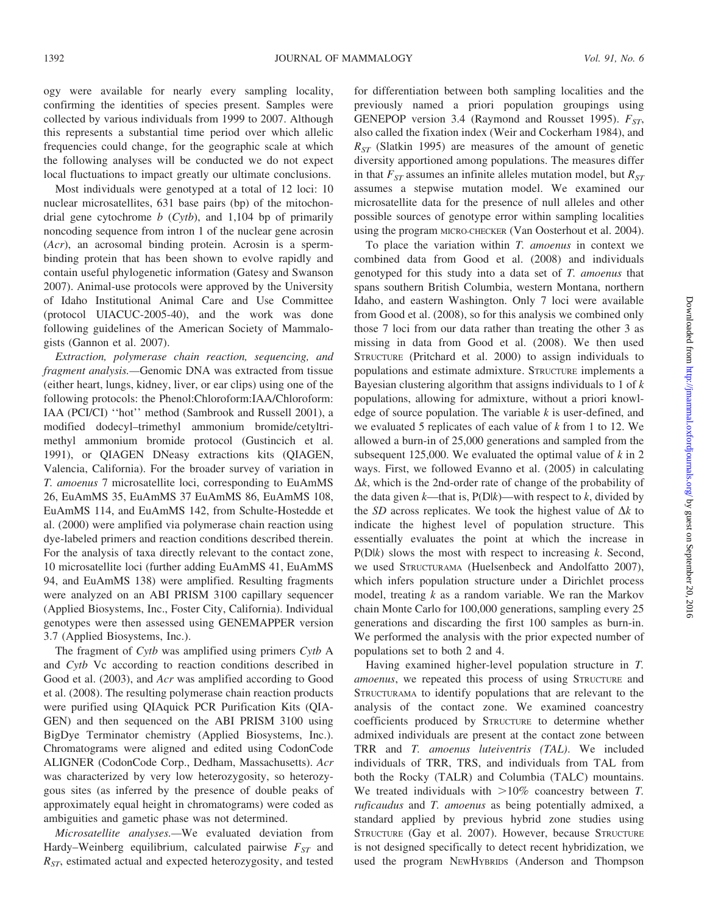ogy were available for nearly every sampling locality, confirming the identities of species present. Samples were collected by various individuals from 1999 to 2007. Although this represents a substantial time period over which allelic frequencies could change, for the geographic scale at which the following analyses will be conducted we do not expect local fluctuations to impact greatly our ultimate conclusions.

Most individuals were genotyped at a total of 12 loci: 10 nuclear microsatellites, 631 base pairs (bp) of the mitochondrial gene cytochrome  $b$  (Cytb), and 1,104 bp of primarily noncoding sequence from intron 1 of the nuclear gene acrosin (Acr), an acrosomal binding protein. Acrosin is a spermbinding protein that has been shown to evolve rapidly and contain useful phylogenetic information (Gatesy and Swanson 2007). Animal-use protocols were approved by the University of Idaho Institutional Animal Care and Use Committee (protocol UIACUC-2005-40), and the work was done following guidelines of the American Society of Mammalogists (Gannon et al. 2007).

Extraction, polymerase chain reaction, sequencing, and fragment analysis.—Genomic DNA was extracted from tissue (either heart, lungs, kidney, liver, or ear clips) using one of the following protocols: the Phenol:Chloroform:IAA/Chloroform: IAA (PCI/CI) ''hot'' method (Sambrook and Russell 2001), a modified dodecyl–trimethyl ammonium bromide/cetyltrimethyl ammonium bromide protocol (Gustincich et al. 1991), or QIAGEN DNeasy extractions kits (QIAGEN, Valencia, California). For the broader survey of variation in T. amoenus 7 microsatellite loci, corresponding to EuAmMS 26, EuAmMS 35, EuAmMS 37 EuAmMS 86, EuAmMS 108, EuAmMS 114, and EuAmMS 142, from Schulte-Hostedde et al. (2000) were amplified via polymerase chain reaction using dye-labeled primers and reaction conditions described therein. For the analysis of taxa directly relevant to the contact zone, 10 microsatellite loci (further adding EuAmMS 41, EuAmMS 94, and EuAmMS 138) were amplified. Resulting fragments were analyzed on an ABI PRISM 3100 capillary sequencer (Applied Biosystems, Inc., Foster City, California). Individual genotypes were then assessed using GENEMAPPER version 3.7 (Applied Biosystems, Inc.).

The fragment of Cytb was amplified using primers Cytb A and Cytb Vc according to reaction conditions described in Good et al. (2003), and Acr was amplified according to Good et al. (2008). The resulting polymerase chain reaction products were purified using QIAquick PCR Purification Kits (QIA-GEN) and then sequenced on the ABI PRISM 3100 using BigDye Terminator chemistry (Applied Biosystems, Inc.). Chromatograms were aligned and edited using CodonCode ALIGNER (CodonCode Corp., Dedham, Massachusetts). Acr was characterized by very low heterozygosity, so heterozygous sites (as inferred by the presence of double peaks of approximately equal height in chromatograms) were coded as ambiguities and gametic phase was not determined.

Microsatellite analyses.—We evaluated deviation from Hardy–Weinberg equilibrium, calculated pairwise  $F_{ST}$  and  $R_{ST}$ , estimated actual and expected heterozygosity, and tested for differentiation between both sampling localities and the previously named a priori population groupings using GENEPOP version 3.4 (Raymond and Rousset 1995).  $F_{ST}$ , also called the fixation index (Weir and Cockerham 1984), and  $R_{ST}$  (Slatkin 1995) are measures of the amount of genetic diversity apportioned among populations. The measures differ in that  $F_{ST}$  assumes an infinite alleles mutation model, but  $R_{ST}$ assumes a stepwise mutation model. We examined our microsatellite data for the presence of null alleles and other possible sources of genotype error within sampling localities using the program MICRO-CHECKER (Van Oosterhout et al. 2004).

To place the variation within T. amoenus in context we combined data from Good et al. (2008) and individuals genotyped for this study into a data set of T. amoenus that spans southern British Columbia, western Montana, northern Idaho, and eastern Washington. Only 7 loci were available from Good et al. (2008), so for this analysis we combined only those 7 loci from our data rather than treating the other 3 as missing in data from Good et al. (2008). We then used STRUCTURE (Pritchard et al. 2000) to assign individuals to populations and estimate admixture. STRUCTURE implements a Bayesian clustering algorithm that assigns individuals to  $1$  of  $k$ populations, allowing for admixture, without a priori knowledge of source population. The variable  $k$  is user-defined, and we evaluated 5 replicates of each value of  $k$  from 1 to 12. We allowed a burn-in of 25,000 generations and sampled from the subsequent 125,000. We evaluated the optimal value of  $k$  in 2 ways. First, we followed Evanno et al. (2005) in calculating  $\Delta k$ , which is the 2nd-order rate of change of the probability of the data given  $k$ —that is,  $P(D|k)$ —with respect to k, divided by the SD across replicates. We took the highest value of  $\Delta k$  to indicate the highest level of population structure. This essentially evaluates the point at which the increase in  $P(D|k)$  slows the most with respect to increasing k. Second, we used STRUCTURAMA (Huelsenbeck and Andolfatto 2007), which infers population structure under a Dirichlet process model, treating  $k$  as a random variable. We ran the Markov chain Monte Carlo for 100,000 generations, sampling every 25 generations and discarding the first 100 samples as burn-in. We performed the analysis with the prior expected number of populations set to both 2 and 4.

Having examined higher-level population structure in T. amoenus, we repeated this process of using STRUCTURE and STRUCTURAMA to identify populations that are relevant to the analysis of the contact zone. We examined coancestry coefficients produced by STRUCTURE to determine whether admixed individuals are present at the contact zone between TRR and T. amoenus luteiventris (TAL). We included individuals of TRR, TRS, and individuals from TAL from both the Rocky (TALR) and Columbia (TALC) mountains. We treated individuals with  $>10\%$  coancestry between T. ruficaudus and T. amoenus as being potentially admixed, a standard applied by previous hybrid zone studies using STRUCTURE (Gay et al. 2007). However, because STRUCTURE is not designed specifically to detect recent hybridization, we used the program NEWHYBRIDS (Anderson and Thompson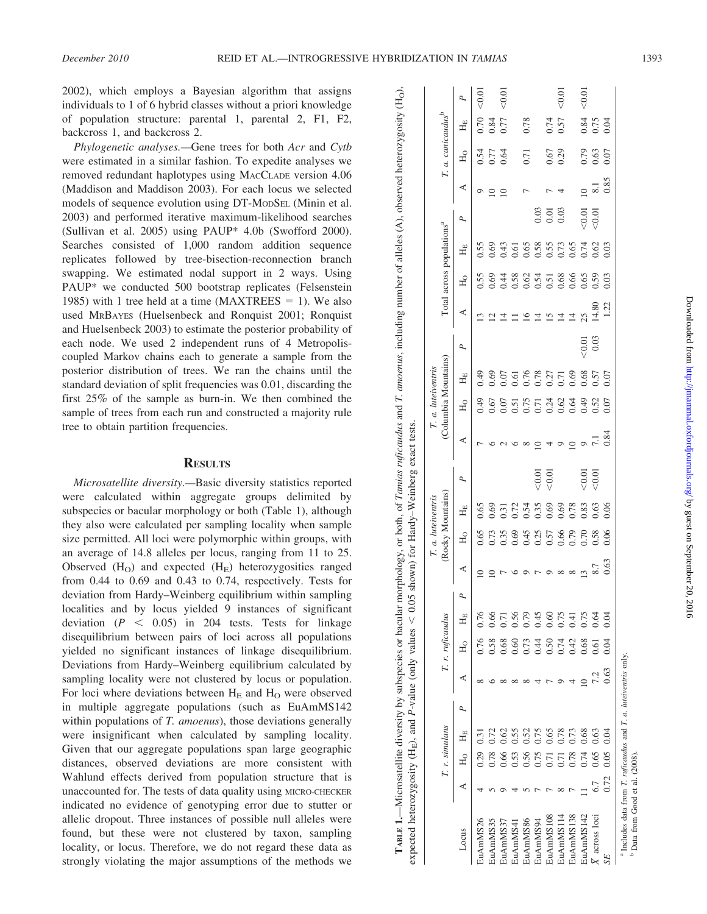2002), which employs a Bayesian algorithm that assigns individuals to 1 of 6 hybrid classes without a priori knowledge of population structure: parental 1, parental 2, F1, F2, backcross 1, and backcross 2.

Phylogenetic analyses.—Gene trees for both Acr and Cytb were estimated in a similar fashion. To expedite analyses we removed redundant haplotypes using MACCLADE version 4.06 (Maddison and Maddison 2003). For each locus we selected models of sequence evolution using DT-MODSEL (Minin et al. 2003) and performed iterative maximum-likelihood searches (Sullivan et al. 2005) using PAUP\* 4.0b (Swofford 2000). Searches consisted of 1,000 random addition sequence replicates followed by tree-bisection-reconnection branch swapping. We estimated nodal support in 2 ways. Using PAUP\* we conducted 500 bootstrap replicates (Felsenstein 1985) with 1 tree held at a time (MAXTREES  $= 1$ ). We also used MRBAYES (Huelsenbeck and Ronquist 2001; Ronquist and Huelsenbeck 2003) to estimate the posterior probability of each node. We used 2 independent runs of 4 Metropoliscoupled Markov chains each to generate a sample from the posterior distribution of trees. We ran the chains until the standard deviation of split frequencies was 0.01, discarding the first 25% of the sample as burn-in. We then combined the sample of trees from each run and constructed a majority rule tree to obtain partition frequencies.

#### **RESULTS**

Microsatellite diversity.—Basic diversity statistics reported were calculated within aggregate groups delimited by subspecies or bacular morphology or both (Table 1), although they also were calculated per sampling locality when sample size permitted. All loci were polymorphic within groups, with an average of 14.8 alleles per locus, ranging from 11 to 25. Observed  $(H<sub>O</sub>)$  and expected  $(H<sub>E</sub>)$  heterozygosities ranged from 0.44 to 0.69 and 0.43 to 0.74, respectively. Tests for deviation from Hardy–Weinberg equilibrium within sampling localities and by locus yielded 9 instances of significant deviation  $(P < 0.05)$  in 204 tests. Tests for linkage disequilibrium between pairs of loci across all populations yielded no significant instances of linkage disequilibrium. Deviations from Hardy–Weinberg equilibrium calculated by sampling locality were not clustered by locus or population. For loci where deviations between  $H<sub>E</sub>$  and  $H<sub>O</sub>$  were observed in multiple aggregate populations (such as EuAmMS142 within populations of T. amoenus), those deviations generally were insignificant when calculated by sampling locality. Given that our aggregate populations span large geographic distances, observed deviations are more consistent with Wahlund effects derived from population structure that is unaccounted for. The tests of data quality using MICRO-CHECKER indicated no evidence of genotyping error due to stutter or allelic dropout. Three instances of possible null alleles were found, but these were not clustered by taxon, sampling locality, or locus. Therefore, we do not regard these data as strongly violating the major assumptions of the methods we

|                            |      | T. r. simulans |                   |   |      | T. r. ruficaudus |         |              | (Rocky Mountains)<br>T. a. luteiventris |             |             |                | T. a. luteiventris | (Columbia Mountains) |        |       | Total across populations <sup>a</sup> |      |        |                          | T. a. canicaudus <sup>b</sup> |             |        |
|----------------------------|------|----------------|-------------------|---|------|------------------|---------|--------------|-----------------------------------------|-------------|-------------|----------------|--------------------|----------------------|--------|-------|---------------------------------------|------|--------|--------------------------|-------------------------------|-------------|--------|
|                            |      |                |                   |   |      |                  |         |              |                                         |             |             |                |                    |                      |        |       |                                       |      |        |                          |                               |             |        |
| Locus                      | ⋖    | H <sub>o</sub> | $H_{\rm E}$       | P | ⋖    | Яq               | $H_{E}$ | ⋖            | Нo                                      | $H_{\rm E}$ | P           | ⋖              | Нo                 | $H_{E}$              | P      | ⋖     | Яq                                    | ΗE   | P      | ⋖                        | $H_{\rm O}$                   | $H_{\rm E}$ | P      |
| EuAmMS26                   |      | 0.29           | $\overline{0.31}$ |   |      | 0.76             | 0.76    |              | 0.65                                    | 0.65        |             |                | 64.0               | 64.0                 |        |       | 0.55                                  | 0.55 |        | ⌒                        | 0.54                          | 0.70        | < 0.01 |
| EuAmMS35                   |      | 0.78           | 0.72              |   |      | 0.58             | 0.66    |              | 0.73                                    | 0.69        |             |                | $0.67$             | 0.69                 |        | ⊴     | 0.69                                  | 0.69 |        | $\overline{10}$          | 0.77                          | 0.84        |        |
| EuAmMS37                   |      | 0.66           | 0.62              |   |      | 0.68             | 0.71    |              | 0.35                                    | 0.31        |             |                | 0.07               | 0.07                 |        |       | 0.44                                  | 0.43 |        | $\overline{10}$          | 0.64                          | 0.77        | < 0.01 |
| EuAmMS4                    |      | 0.53           | 0.55              |   |      | 0.60             | 0.56    |              | 0.69                                    | 0.72        |             |                | 0.51               | 0.61                 |        |       | 0.58                                  | 0.61 |        |                          |                               |             |        |
| EuAmMS86                   |      | 0.56           | 0.52              |   |      | 0.73             | 0.79    |              | 0.45                                    | 0.54        |             |                | 0.75               | 0.76                 |        |       | 0.62                                  | 0.65 |        |                          | 0.71                          | 0.78        |        |
| EuAmMS94                   |      | 0.75           | 0.75              |   |      | 0.44             | 6.45    |              | 0.25                                    | 0.35        | < 0.01      |                | 0.71               | 0.78                 |        |       | 0.54                                  | 0.58 | 0.03   |                          |                               |             |        |
| EuAmMS108                  |      | 0.71           | 0.65              |   |      | 0.50             | 0.60    | െ            | 0.57                                    | 0.69        | ${}_{0.01}$ |                | 0.24               | 0.27                 |        |       | 0.51                                  | 0.55 | $0.01$ |                          | 0.67                          | 0.74        |        |
| EuAmMS114                  |      | 0.71           | 0.78              |   |      | 0.74             | 0.75    | $\infty$     | 0.66                                    | 0.69        |             |                | 0.62               | 0.71                 |        | 4     | 0.68                                  | 0.73 | 0.03   |                          | 0.29                          | 0.57        | < 0.01 |
| EuAmMS138                  |      | 0.78           | 0.73              |   |      | 0.42             | 7.41    | ${}^{\circ}$ | 0.79                                    | 0.78        |             |                | 0.64               | 0.69                 |        | ᅼ     | 0.66                                  | 0.65 |        |                          |                               |             |        |
| EuAmMS142                  |      | 0.74           | 0.68              |   |      | 0.68             | 0.75    |              | 0.70                                    | 0.83        | < 0.01      |                | 64.0               | 0.68                 | < 0.01 | 25    | 0.65                                  | 0.74 | < 0.01 | $\approx$                | 0.79                          | 0.84        | < 0.01 |
| $\overline{X}$ across loci |      | 0.65           | 0.63              |   |      | 0.61             | 0.64    | `∞           | 0.58                                    | 0.63        | 0.01        | $\overline{z}$ | 0.52               | 0.57                 | 0.03   | 14.80 | 0.59                                  | 0.62 | < 0.01 | $\overline{\phantom{0}}$ | 0.63                          | 0.75        |        |
|                            | 0.72 | 0.05           | 0.04              |   | 0.63 | 0.04             | 9.<br>Э | 0.63         | 0.06                                    | 0.06        |             | 0.84           | 0.07               | $0.07$               |        | 1.22  | 0.03                                  | 0.03 |        | 0.85                     | 0.07                          | 0.04        |        |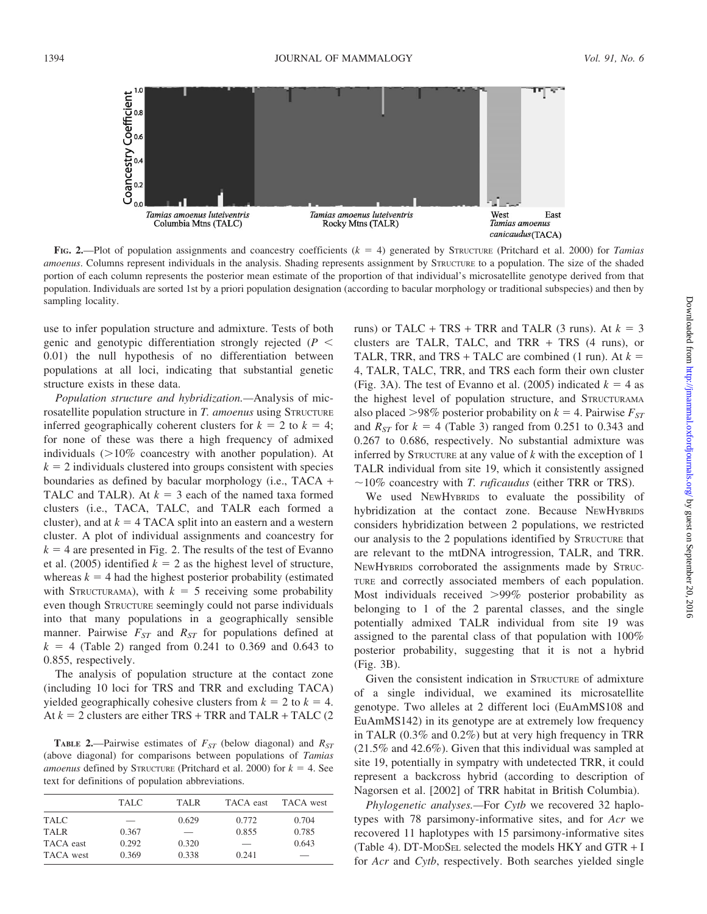

FIG. 2.—Plot of population assignments and coancestry coefficients  $(k = 4)$  generated by STRUCTURE (Pritchard et al. 2000) for Tamias amoenus. Columns represent individuals in the analysis. Shading represents assignment by STRUCTURE to a population. The size of the shaded portion of each column represents the posterior mean estimate of the proportion of that individual's microsatellite genotype derived from that population. Individuals are sorted 1st by a priori population designation (according to bacular morphology or traditional subspecies) and then by sampling locality.

use to infer population structure and admixture. Tests of both genic and genotypic differentiation strongly rejected ( $P \leq$ 0.01) the null hypothesis of no differentiation between populations at all loci, indicating that substantial genetic structure exists in these data.

Population structure and hybridization.—Analysis of microsatellite population structure in T. amoenus using STRUCTURE inferred geographically coherent clusters for  $k = 2$  to  $k = 4$ ; for none of these was there a high frequency of admixed individuals  $(>10\%$  coancestry with another population). At  $k = 2$  individuals clustered into groups consistent with species boundaries as defined by bacular morphology (i.e., TACA + TALC and TALR). At  $k = 3$  each of the named taxa formed clusters (i.e., TACA, TALC, and TALR each formed a cluster), and at  $k = 4$  TACA split into an eastern and a western cluster. A plot of individual assignments and coancestry for  $k = 4$  are presented in Fig. 2. The results of the test of Evanno et al. (2005) identified  $k = 2$  as the highest level of structure, whereas  $k = 4$  had the highest posterior probability (estimated with STRUCTURAMA), with  $k = 5$  receiving some probability even though STRUCTURE seemingly could not parse individuals into that many populations in a geographically sensible manner. Pairwise  $F_{ST}$  and  $R_{ST}$  for populations defined at  $k = 4$  (Table 2) ranged from 0.241 to 0.369 and 0.643 to 0.855, respectively.

The analysis of population structure at the contact zone (including 10 loci for TRS and TRR and excluding TACA) yielded geographically cohesive clusters from  $k = 2$  to  $k = 4$ . At  $k = 2$  clusters are either TRS + TRR and TALR + TALC (2)

**TABLE 2.**—Pairwise estimates of  $F_{ST}$  (below diagonal) and  $R_{ST}$ (above diagonal) for comparisons between populations of Tamias amoenus defined by STRUCTURE (Pritchard et al. 2000) for  $k = 4$ . See text for definitions of population abbreviations.

|             | TALC  | TALR. | TACA east | TACA west |
|-------------|-------|-------|-----------|-----------|
| TALC        |       | 0.629 | 0.772     | 0.704     |
| <b>TALR</b> | 0.367 |       | 0.855     | 0.785     |
| TACA east   | 0.292 | 0.320 |           | 0.643     |
| TACA west   | 0.369 | 0.338 | 0.241     | __        |

runs) or TALC + TRS + TRR and TALR (3 runs). At  $k = 3$ clusters are TALR, TALC, and TRR + TRS (4 runs), or TALR, TRR, and TRS + TALC are combined (1 run). At  $k =$ 4, TALR, TALC, TRR, and TRS each form their own cluster (Fig. 3A). The test of Evanno et al. (2005) indicated  $k = 4$  as the highest level of population structure, and STRUCTURAMA also placed >98% posterior probability on  $k = 4$ . Pairwise  $F_{ST}$ and  $R_{ST}$  for  $k = 4$  (Table 3) ranged from 0.251 to 0.343 and 0.267 to 0.686, respectively. No substantial admixture was inferred by STRUCTURE at any value of  $k$  with the exception of 1 TALR individual from site 19, which it consistently assigned  $\sim$ 10% coancestry with *T. ruficaudus* (either TRR or TRS).

We used NEWHYBRIDS to evaluate the possibility of hybridization at the contact zone. Because NEWHYBRIDS considers hybridization between 2 populations, we restricted our analysis to the 2 populations identified by STRUCTURE that are relevant to the mtDNA introgression, TALR, and TRR. NEWHYBRIDS corroborated the assignments made by STRUC-TURE and correctly associated members of each population. Most individuals received  $>99\%$  posterior probability as belonging to 1 of the 2 parental classes, and the single potentially admixed TALR individual from site 19 was assigned to the parental class of that population with 100% posterior probability, suggesting that it is not a hybrid (Fig. 3B).

Given the consistent indication in STRUCTURE of admixture of a single individual, we examined its microsatellite genotype. Two alleles at 2 different loci (EuAmMS108 and EuAmMS142) in its genotype are at extremely low frequency in TALR (0.3% and 0.2%) but at very high frequency in TRR (21.5% and 42.6%). Given that this individual was sampled at site 19, potentially in sympatry with undetected TRR, it could represent a backcross hybrid (according to description of Nagorsen et al. [2002] of TRR habitat in British Columbia).

Phylogenetic analyses.—For Cytb we recovered 32 haplotypes with 78 parsimony-informative sites, and for Acr we recovered 11 haplotypes with 15 parsimony-informative sites (Table 4). DT-MODSEL selected the models HKY and GTR + I for Acr and Cytb, respectively. Both searches yielded single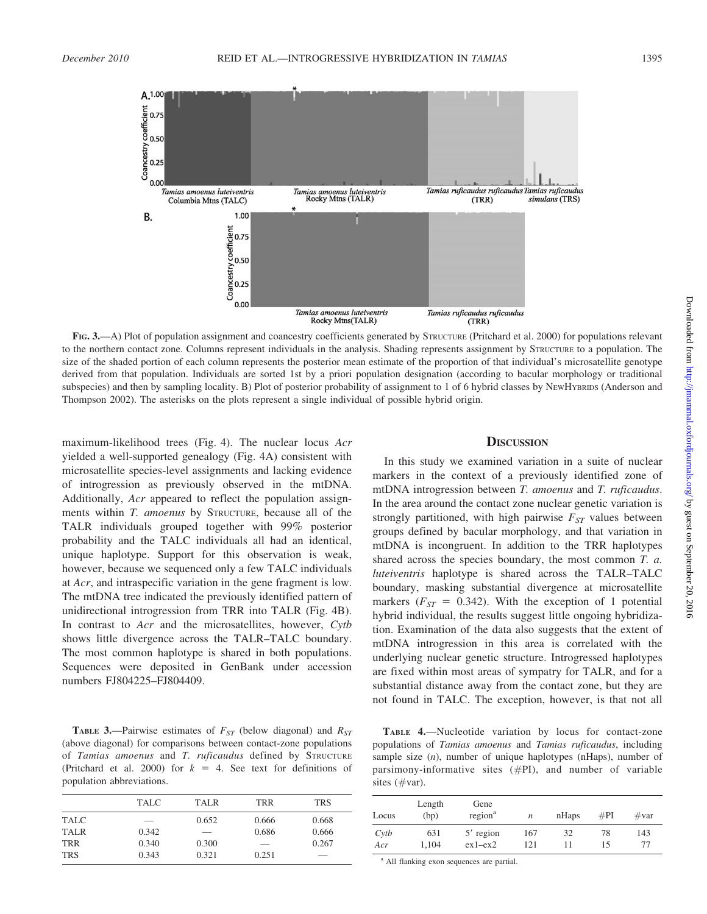

FIG. 3.—A) Plot of population assignment and coancestry coefficients generated by STRUCTURE (Pritchard et al. 2000) for populations relevant to the northern contact zone. Columns represent individuals in the analysis. Shading represents assignment by STRUCTURE to a population. The size of the shaded portion of each column represents the posterior mean estimate of the proportion of that individual's microsatellite genotype derived from that population. Individuals are sorted 1st by a priori population designation (according to bacular morphology or traditional subspecies) and then by sampling locality. B) Plot of posterior probability of assignment to 1 of 6 hybrid classes by NEWHYBRIDS (Anderson and Thompson 2002). The asterisks on the plots represent a single individual of possible hybrid origin.

maximum-likelihood trees (Fig. 4). The nuclear locus Acr yielded a well-supported genealogy (Fig. 4A) consistent with microsatellite species-level assignments and lacking evidence of introgression as previously observed in the mtDNA. Additionally, Acr appeared to reflect the population assignments within T. amoenus by STRUCTURE, because all of the TALR individuals grouped together with 99% posterior probability and the TALC individuals all had an identical, unique haplotype. Support for this observation is weak, however, because we sequenced only a few TALC individuals at Acr, and intraspecific variation in the gene fragment is low. The mtDNA tree indicated the previously identified pattern of unidirectional introgression from TRR into TALR (Fig. 4B). In contrast to Acr and the microsatellites, however, Cytb shows little divergence across the TALR–TALC boundary. The most common haplotype is shared in both populations. Sequences were deposited in GenBank under accession numbers FJ804225–FJ804409.

**TABLE 3.**—Pairwise estimates of  $F_{ST}$  (below diagonal) and  $R_{ST}$ (above diagonal) for comparisons between contact-zone populations of Tamias amoenus and T. ruficaudus defined by STRUCTURE (Pritchard et al. 2000) for  $k = 4$ . See text for definitions of population abbreviations.

|             | TALC  | <b>TALR</b> | TRR   | <b>TRS</b>               |
|-------------|-------|-------------|-------|--------------------------|
| <b>TALC</b> |       | 0.652       | 0.666 | 0.668                    |
| <b>TALR</b> | 0.342 | __          | 0.686 | 0.666                    |
| <b>TRR</b>  | 0.340 | 0.300       |       | 0.267                    |
| <b>TRS</b>  | 0.343 | 0.321       | 0.251 | $\overline{\phantom{a}}$ |

## **DISCUSSION**

In this study we examined variation in a suite of nuclear markers in the context of a previously identified zone of mtDNA introgression between T. amoenus and T. ruficaudus. In the area around the contact zone nuclear genetic variation is strongly partitioned, with high pairwise  $F_{ST}$  values between groups defined by bacular morphology, and that variation in mtDNA is incongruent. In addition to the TRR haplotypes shared across the species boundary, the most common T. a. luteiventris haplotype is shared across the TALR–TALC boundary, masking substantial divergence at microsatellite markers ( $F_{ST}$  = 0.342). With the exception of 1 potential hybrid individual, the results suggest little ongoing hybridization. Examination of the data also suggests that the extent of mtDNA introgression in this area is correlated with the underlying nuclear genetic structure. Introgressed haplotypes are fixed within most areas of sympatry for TALR, and for a substantial distance away from the contact zone, but they are not found in TALC. The exception, however, is that not all

TABLE 4.—Nucleotide variation by locus for contact-zone populations of Tamias amoenus and Tamias ruficaudus, including sample size  $(n)$ , number of unique haplotypes  $(nHaps)$ , number of parsimony-informative sites  $(\#PI)$ , and number of variable sites (#var).

| Locus | Length<br>(bp) | Gene<br>region <sup>a</sup> | n   | nHaps | $\#PI$ | $\#\text{var}$ |
|-------|----------------|-----------------------------|-----|-------|--------|----------------|
| Cvtb  | 631            | 5' region                   | 167 | 32    | 78     | 143            |
| Acr   | 1.104          | $ex1-ex2$                   | 121 |       | ר ו    | 77             |

<sup>a</sup> All flanking exon sequences are partial.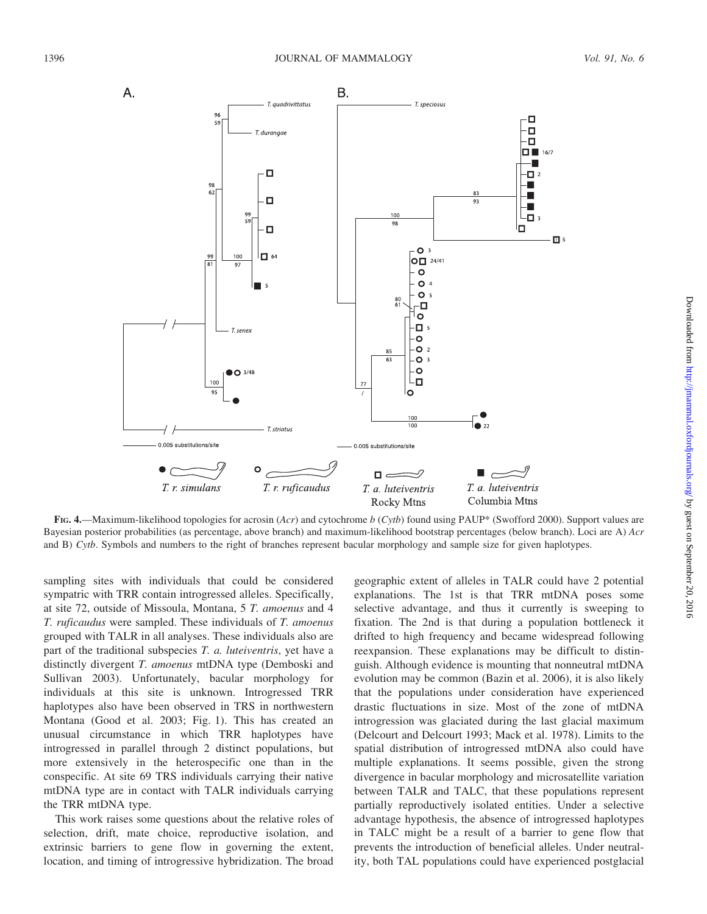

FIG. 4.—Maximum-likelihood topologies for acrosin  $(Acr)$  and cytochrome b  $(Cytb)$  found using PAUP\* (Swofford 2000). Support values are Bayesian posterior probabilities (as percentage, above branch) and maximum-likelihood bootstrap percentages (below branch). Loci are A) Acr and B) Cytb. Symbols and numbers to the right of branches represent bacular morphology and sample size for given haplotypes.

sampling sites with individuals that could be considered sympatric with TRR contain introgressed alleles. Specifically, at site 72, outside of Missoula, Montana, 5 T. amoenus and 4 T. ruficaudus were sampled. These individuals of T. amoenus grouped with TALR in all analyses. These individuals also are part of the traditional subspecies T. a. luteiventris, yet have a distinctly divergent T. amoenus mtDNA type (Demboski and Sullivan 2003). Unfortunately, bacular morphology for individuals at this site is unknown. Introgressed TRR haplotypes also have been observed in TRS in northwestern Montana (Good et al. 2003; Fig. 1). This has created an unusual circumstance in which TRR haplotypes have introgressed in parallel through 2 distinct populations, but more extensively in the heterospecific one than in the conspecific. At site 69 TRS individuals carrying their native mtDNA type are in contact with TALR individuals carrying the TRR mtDNA type.

This work raises some questions about the relative roles of selection, drift, mate choice, reproductive isolation, and extrinsic barriers to gene flow in governing the extent, location, and timing of introgressive hybridization. The broad geographic extent of alleles in TALR could have 2 potential explanations. The 1st is that TRR mtDNA poses some selective advantage, and thus it currently is sweeping to fixation. The 2nd is that during a population bottleneck it drifted to high frequency and became widespread following reexpansion. These explanations may be difficult to distinguish. Although evidence is mounting that nonneutral mtDNA evolution may be common (Bazin et al. 2006), it is also likely that the populations under consideration have experienced drastic fluctuations in size. Most of the zone of mtDNA introgression was glaciated during the last glacial maximum (Delcourt and Delcourt 1993; Mack et al. 1978). Limits to the spatial distribution of introgressed mtDNA also could have multiple explanations. It seems possible, given the strong divergence in bacular morphology and microsatellite variation between TALR and TALC, that these populations represent partially reproductively isolated entities. Under a selective advantage hypothesis, the absence of introgressed haplotypes in TALC might be a result of a barrier to gene flow that prevents the introduction of beneficial alleles. Under neutrality, both TAL populations could have experienced postglacial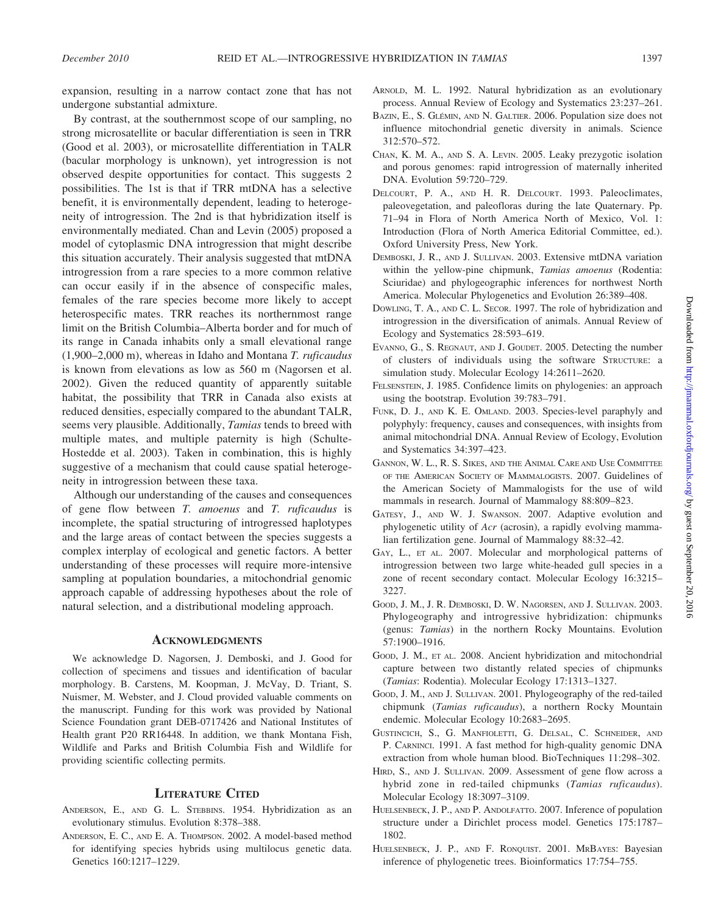expansion, resulting in a narrow contact zone that has not undergone substantial admixture.

By contrast, at the southernmost scope of our sampling, no strong microsatellite or bacular differentiation is seen in TRR (Good et al. 2003), or microsatellite differentiation in TALR (bacular morphology is unknown), yet introgression is not observed despite opportunities for contact. This suggests 2 possibilities. The 1st is that if TRR mtDNA has a selective benefit, it is environmentally dependent, leading to heterogeneity of introgression. The 2nd is that hybridization itself is environmentally mediated. Chan and Levin (2005) proposed a model of cytoplasmic DNA introgression that might describe this situation accurately. Their analysis suggested that mtDNA introgression from a rare species to a more common relative can occur easily if in the absence of conspecific males, females of the rare species become more likely to accept heterospecific mates. TRR reaches its northernmost range limit on the British Columbia–Alberta border and for much of its range in Canada inhabits only a small elevational range (1,900–2,000 m), whereas in Idaho and Montana T. ruficaudus is known from elevations as low as 560 m (Nagorsen et al. 2002). Given the reduced quantity of apparently suitable habitat, the possibility that TRR in Canada also exists at reduced densities, especially compared to the abundant TALR, seems very plausible. Additionally, Tamias tends to breed with multiple mates, and multiple paternity is high (Schulte-Hostedde et al. 2003). Taken in combination, this is highly suggestive of a mechanism that could cause spatial heterogeneity in introgression between these taxa.

Although our understanding of the causes and consequences of gene flow between T. amoenus and T. ruficaudus is incomplete, the spatial structuring of introgressed haplotypes and the large areas of contact between the species suggests a complex interplay of ecological and genetic factors. A better understanding of these processes will require more-intensive sampling at population boundaries, a mitochondrial genomic approach capable of addressing hypotheses about the role of natural selection, and a distributional modeling approach.

#### **ACKNOWLEDGMENTS**

We acknowledge D. Nagorsen, J. Demboski, and J. Good for collection of specimens and tissues and identification of bacular morphology. B. Carstens, M. Koopman, J. McVay, D. Triant, S. Nuismer, M. Webster, and J. Cloud provided valuable comments on the manuscript. Funding for this work was provided by National Science Foundation grant DEB-0717426 and National Institutes of Health grant P20 RR16448. In addition, we thank Montana Fish, Wildlife and Parks and British Columbia Fish and Wildlife for providing scientific collecting permits.

### LITERATURE CITED

- ANDERSON, E., AND G. L. STEBBINS. 1954. Hybridization as an evolutionary stimulus. Evolution 8:378–388.
- ANDERSON, E. C., AND E. A. THOMPSON. 2002. A model-based method for identifying species hybrids using multilocus genetic data. Genetics 160:1217–1229.
- ARNOLD, M. L. 1992. Natural hybridization as an evolutionary process. Annual Review of Ecology and Systematics 23:237–261.
- BAZIN, E., S. GLÉMIN, AND N. GALTIER. 2006. Population size does not influence mitochondrial genetic diversity in animals. Science 312:570–572.
- CHAN, K. M. A., AND S. A. LEVIN. 2005. Leaky prezygotic isolation and porous genomes: rapid introgression of maternally inherited DNA. Evolution 59:720–729.
- DELCOURT, P. A., AND H. R. DELCOURT. 1993. Paleoclimates, paleovegetation, and paleofloras during the late Quaternary. Pp. 71–94 in Flora of North America North of Mexico, Vol. 1: Introduction (Flora of North America Editorial Committee, ed.). Oxford University Press, New York.
- DEMBOSKI, J. R., AND J. SULLIVAN. 2003. Extensive mtDNA variation within the yellow-pine chipmunk, Tamias amoenus (Rodentia: Sciuridae) and phylogeographic inferences for northwest North America. Molecular Phylogenetics and Evolution 26:389–408.
- DOWLING, T. A., AND C. L. SECOR. 1997. The role of hybridization and introgression in the diversification of animals. Annual Review of Ecology and Systematics 28:593–619.
- EVANNO, G., S. REGNAUT, AND J. GOUDET. 2005. Detecting the number of clusters of individuals using the software STRUCTURE: a simulation study. Molecular Ecology 14:2611–2620.
- FELSENSTEIN, J. 1985. Confidence limits on phylogenies: an approach using the bootstrap. Evolution 39:783–791.
- FUNK, D. J., AND K. E. OMLAND. 2003. Species-level paraphyly and polyphyly: frequency, causes and consequences, with insights from animal mitochondrial DNA. Annual Review of Ecology, Evolution and Systematics 34:397–423.
- GANNON, W. L., R. S. SIKES, AND THE ANIMAL CARE AND USE COMMITTEE OF THE AMERICAN SOCIETY OF MAMMALOGISTS. 2007. Guidelines of the American Society of Mammalogists for the use of wild mammals in research. Journal of Mammalogy 88:809–823.
- GATESY, J., AND W. J. SWANSON. 2007. Adaptive evolution and phylogenetic utility of Acr (acrosin), a rapidly evolving mammalian fertilization gene. Journal of Mammalogy 88:32–42.
- GAY, L., ET AL. 2007. Molecular and morphological patterns of introgression between two large white-headed gull species in a zone of recent secondary contact. Molecular Ecology 16:3215– 3227.
- GOOD, J. M., J. R. DEMBOSKI, D. W. NAGORSEN, AND J. SULLIVAN. 2003. Phylogeography and introgressive hybridization: chipmunks (genus: Tamias) in the northern Rocky Mountains. Evolution 57:1900–1916.
- GOOD, J. M., ET AL. 2008. Ancient hybridization and mitochondrial capture between two distantly related species of chipmunks (Tamias: Rodentia). Molecular Ecology 17:1313–1327.
- GOOD, J. M., AND J. SULLIVAN. 2001. Phylogeography of the red-tailed chipmunk (Tamias ruficaudus), a northern Rocky Mountain endemic. Molecular Ecology 10:2683–2695.
- GUSTINCICH, S., G. MANFIOLETTI, G. DELSAL, C. SCHNEIDER, AND P. CARNINCI. 1991. A fast method for high-quality genomic DNA extraction from whole human blood. BioTechniques 11:298–302.
- HIRD, S., AND J. SULLIVAN. 2009. Assessment of gene flow across a hybrid zone in red-tailed chipmunks (Tamias ruficaudus). Molecular Ecology 18:3097–3109.
- HUELSENBECK, J. P., AND P. ANDOLFATTO. 2007. Inference of population structure under a Dirichlet process model. Genetics 175:1787– 1802.
- HUELSENBECK, J. P., AND F. RONQUIST. 2001. MRBAYES: Bayesian inference of phylogenetic trees. Bioinformatics 17:754–755.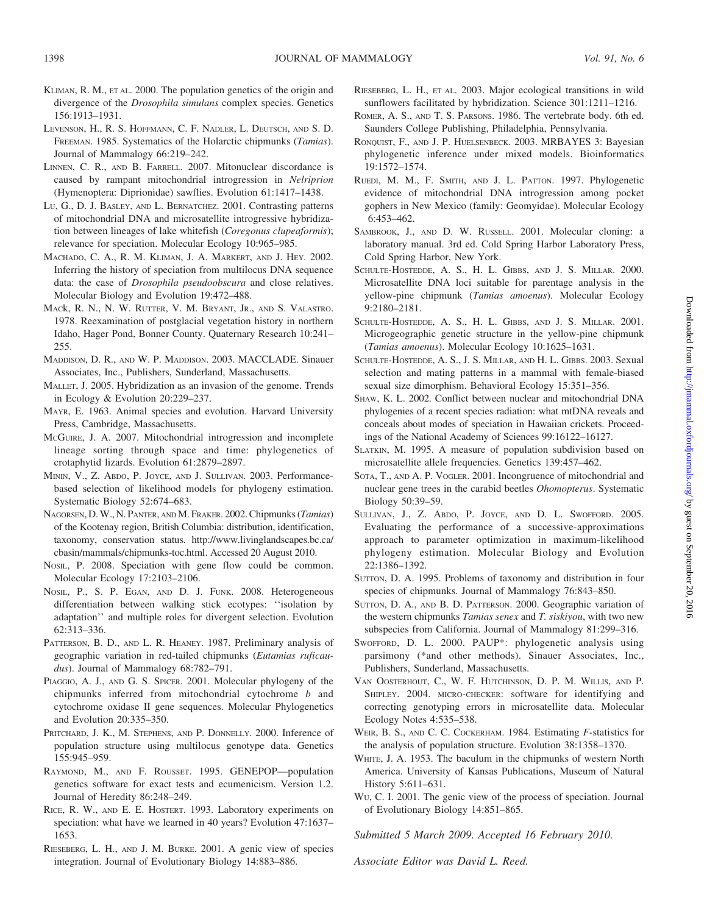- KLIMAN, R. M., ET AL. 2000. The population genetics of the origin and divergence of the Drosophila simulans complex species. Genetics 156:1913–1931.
- LEVENSON, H., R. S. HOFFMANN, C. F. NADLER, L. DEUTSCH, AND S. D. FREEMAN. 1985. Systematics of the Holarctic chipmunks (Tamias). Journal of Mammalogy 66:219–242.
- LINNEN, C. R., AND B. FARRELL. 2007. Mitonuclear discordance is caused by rampant mitochondrial introgression in Nelriprion (Hymenoptera: Diprionidae) sawflies. Evolution 61:1417–1438.
- LU, G., D. J. BASLEY, AND L. BERNATCHEZ. 2001. Contrasting patterns of mitochondrial DNA and microsatellite introgressive hybridization between lineages of lake whitefish (Coregonus clupeaformis); relevance for speciation. Molecular Ecology 10:965–985.
- MACHADO, C. A., R. M. KLIMAN, J. A. MARKERT, AND J. HEY. 2002. Inferring the history of speciation from multilocus DNA sequence data: the case of Drosophila pseudoobscura and close relatives. Molecular Biology and Evolution 19:472–488.
- MACk, R. N., N. W. RUTTER, V. M. BRYANT, JR., AND S. VALASTRO. 1978. Reexamination of postglacial vegetation history in northern Idaho, Hager Pond, Bonner County. Quaternary Research 10:241– 255.
- MADDISON, D. R., AND W. P. MADDISON. 2003. MACCLADE. Sinauer Associates, Inc., Publishers, Sunderland, Massachusetts.
- MALLET, J. 2005. Hybridization as an invasion of the genome. Trends in Ecology & Evolution 20:229–237.
- MAYR, E. 1963. Animal species and evolution. Harvard University Press, Cambridge, Massachusetts.
- MCGUIRE, J. A. 2007. Mitochondrial introgression and incomplete lineage sorting through space and time: phylogenetics of crotaphytid lizards. Evolution 61:2879–2897.
- MININ, V., Z. ABDO, P. JOYCE, AND J. SULLIVAN. 2003. Performancebased selection of likelihood models for phylogeny estimation. Systematic Biology 52:674–683.
- NAGORSEN, D.W., N. PANTER, AND M. FRAKER. 2002. Chipmunks (Tamias) of the Kootenay region, British Columbia: distribution, identification, taxonomy, conservation status. http://www.livinglandscapes.bc.ca/ cbasin/mammals/chipmunks-toc.html. Accessed 20 August 2010.
- NOSIL, P. 2008. Speciation with gene flow could be common. Molecular Ecology 17:2103–2106.
- NOSIL, P., S. P. EGAN, AND D. J. FUNK. 2008. Heterogeneous differentiation between walking stick ecotypes: ''isolation by adaptation'' and multiple roles for divergent selection. Evolution 62:313–336.
- PATTERSON, B. D., AND L. R. HEANEY. 1987. Preliminary analysis of geographic variation in red-tailed chipmunks (Eutamias ruficaudus). Journal of Mammalogy 68:782-791.
- PIAGGIO, A. J., AND G. S. SPICER. 2001. Molecular phylogeny of the chipmunks inferred from mitochondrial cytochrome b and cytochrome oxidase II gene sequences. Molecular Phylogenetics and Evolution 20:335–350.
- PRITCHARD, J. K., M. STEPHENS, AND P. DONNELLY. 2000. Inference of population structure using multilocus genotype data. Genetics 155:945–959.
- RAYMOND, M., AND F. ROUSSET. 1995. GENEPOP—population genetics software for exact tests and ecumenicism. Version 1.2. Journal of Heredity 86:248–249.
- RICE, R. W., AND E. E. HOSTERT. 1993. Laboratory experiments on speciation: what have we learned in 40 years? Evolution 47:1637– 1653.
- RIESEBERG, L. H., AND J. M. BURKE. 2001. A genic view of species integration. Journal of Evolutionary Biology 14:883–886.
- RIESEBERG, L. H., ET AL. 2003. Major ecological transitions in wild sunflowers facilitated by hybridization. Science 301:1211–1216.
- ROMER, A. S., AND T. S. PARSONS. 1986. The vertebrate body. 6th ed. Saunders College Publishing, Philadelphia, Pennsylvania.
- RONQUIST, F., AND J. P. HUELSENBECK. 2003. MRBAYES 3: Bayesian phylogenetic inference under mixed models. Bioinformatics 19:1572–1574.
- RUEDI, M. M., F. SMITH, AND J. L. PATTON. 1997. Phylogenetic evidence of mitochondrial DNA introgression among pocket gophers in New Mexico (family: Geomyidae). Molecular Ecology 6:453–462.
- SAMBROOK, J., AND D. W. RUSSELL. 2001. Molecular cloning: a laboratory manual. 3rd ed. Cold Spring Harbor Laboratory Press, Cold Spring Harbor, New York.
- SCHULTE-HOSTEDDE, A. S., H. L. GIBBS, AND J. S. MILLAR. 2000. Microsatellite DNA loci suitable for parentage analysis in the yellow-pine chipmunk (Tamias amoenus). Molecular Ecology 9:2180–2181.
- SCHULTE-HOSTEDDE, A. S., H. L. GIBBS, AND J. S. MILLAR. 2001. Microgeographic genetic structure in the yellow-pine chipmunk (Tamias amoenus). Molecular Ecology 10:1625–1631.
- SCHULTE-HOSTEDDE, A. S., J. S. MILLAR, AND H. L. GIBBS. 2003. Sexual selection and mating patterns in a mammal with female-biased sexual size dimorphism. Behavioral Ecology 15:351–356.
- SHAW, K. L. 2002. Conflict between nuclear and mitochondrial DNA phylogenies of a recent species radiation: what mtDNA reveals and conceals about modes of speciation in Hawaiian crickets. Proceedings of the National Academy of Sciences 99:16122–16127.
- SLATKIN, M. 1995. A measure of population subdivision based on microsatellite allele frequencies. Genetics 139:457–462.
- SOTA, T., AND A. P. VOGLER. 2001. Incongruence of mitochondrial and nuclear gene trees in the carabid beetles Ohomopterus. Systematic Biology 50:39–59.
- SULLIVAN, J., Z. ABDO, P. JOYCE, AND D. L. SWOFFORD. 2005. Evaluating the performance of a successive-approximations approach to parameter optimization in maximum-likelihood phylogeny estimation. Molecular Biology and Evolution 22:1386–1392.
- SUTTON, D. A. 1995. Problems of taxonomy and distribution in four species of chipmunks. Journal of Mammalogy 76:843–850.
- SUTTON, D. A., AND B. D. PATTERSON. 2000. Geographic variation of the western chipmunks Tamias senex and T. siskiyou, with two new subspecies from California. Journal of Mammalogy 81:299–316.
- SWOFFORD, D. L. 2000. PAUP\*: phylogenetic analysis using parsimony (\*and other methods). Sinauer Associates, Inc., Publishers, Sunderland, Massachusetts.
- VAN OOSTERHOUT, C., W. F. HUTCHINSON, D. P. M. WILLIS, AND P. SHIPLEY. 2004. MICRO-CHECKER: software for identifying and correcting genotyping errors in microsatellite data. Molecular Ecology Notes 4:535–538.
- WEIR, B. S., AND C. C. COCKERHAM. 1984. Estimating F-statistics for the analysis of population structure. Evolution 38:1358–1370.
- WHITE, J. A. 1953. The baculum in the chipmunks of western North America. University of Kansas Publications, Museum of Natural History 5:611–631.
- WU, C. I. 2001. The genic view of the process of speciation. Journal of Evolutionary Biology 14:851–865.

Submitted 5 March 2009. Accepted 16 February 2010.

Associate Editor was David L. Reed.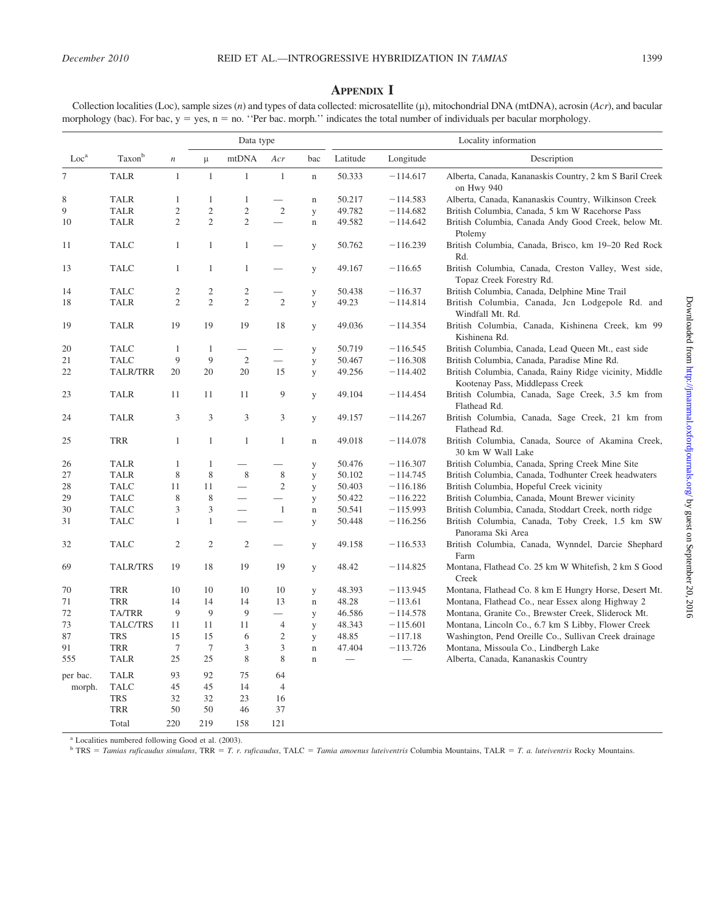# APPENDIX I

Collection localities (Loc), sample sizes (n) and types of data collected: microsatellite ( $\mu$ ), mitochondrial DNA (mtDNA), acrosin (Acr), and bacular morphology (bac). For bac,  $y = yes$ ,  $n = no$ . "Per bac. morph." indicates the total number of individuals per bacular morphology.

|                  |                 |                  |                | Data type                |                 |             | Locality information     |            |                                                                                           |
|------------------|-----------------|------------------|----------------|--------------------------|-----------------|-------------|--------------------------|------------|-------------------------------------------------------------------------------------------|
| Loc <sup>a</sup> | Taxonb          | $\boldsymbol{n}$ | μ              | mtDNA                    | Acr             | bac         | Latitude                 | Longitude  | Description                                                                               |
| 7                | <b>TALR</b>     | 1                | $\mathbf{1}$   | $\mathbf{1}$             | $\mathbf{1}$    | $\mathbf n$ | 50.333                   | $-114.617$ | Alberta, Canada, Kananaskis Country, 2 km S Baril Creek<br>on Hwy 940                     |
| 8                | <b>TALR</b>     | 1                | $\mathbf{1}$   | 1                        |                 | $\mathbf n$ | 50.217                   | $-114.583$ | Alberta, Canada, Kananaskis Country, Wilkinson Creek                                      |
| 9                | <b>TALR</b>     | $\overline{c}$   | $\mathfrak{2}$ | $\mathfrak{2}$           | $\overline{2}$  | y           | 49.782                   | $-114.682$ | British Columbia, Canada, 5 km W Racehorse Pass                                           |
| 10               | <b>TALR</b>     | $\overline{2}$   | $\overline{2}$ | $\overline{c}$           |                 | $\mathbf n$ | 49.582                   | $-114.642$ | British Columbia, Canada Andy Good Creek, below Mt.<br>Ptolemy                            |
| 11               | <b>TALC</b>     | $\mathbf{1}$     | $\mathbf{1}$   | $\mathbf{1}$             |                 | y           | 50.762                   | $-116.239$ | British Columbia, Canada, Brisco, km 19-20 Red Rock<br>Rd.                                |
| 13               | <b>TALC</b>     | $\mathbf{1}$     | $\mathbf{1}$   | $\mathbf{1}$             |                 | У           | 49.167                   | $-116.65$  | British Columbia, Canada, Creston Valley, West side,<br>Topaz Creek Forestry Rd.          |
| 14               | <b>TALC</b>     | $\mathfrak{2}$   | $\mathfrak{2}$ | $\mathfrak{2}$           |                 | y           | 50.438                   | $-116.37$  | British Columbia, Canada, Delphine Mine Trail                                             |
| 18               | <b>TALR</b>     | $\mathfrak{2}$   | $\mathfrak{2}$ | $\overline{2}$           | $\overline{2}$  | y           | 49.23                    | $-114.814$ | British Columbia, Canada, Jcn Lodgepole Rd. and<br>Windfall Mt. Rd.                       |
| 19               | <b>TALR</b>     | 19               | 19             | 19                       | 18              | y           | 49.036                   | $-114.354$ | British Columbia, Canada, Kishinena Creek, km 99<br>Kishinena Rd.                         |
| 20               | <b>TALC</b>     | $\mathbf{1}$     | $\mathbf{1}$   |                          |                 | y           | 50.719                   | $-116.545$ | British Columbia, Canada, Lead Queen Mt., east side                                       |
| 21               | <b>TALC</b>     | 9                | $\overline{9}$ | $\sqrt{2}$               | $\qquad \qquad$ | y           | 50.467                   | $-116.308$ | British Columbia, Canada, Paradise Mine Rd.                                               |
| 22               | TALR/TRR        | 20               | 20             | 20                       | 15              | У           | 49.256                   | $-114.402$ | British Columbia, Canada, Rainy Ridge vicinity, Middle<br>Kootenay Pass, Middlepass Creek |
| 23               | <b>TALR</b>     | 11               | 11             | 11                       | 9               | y           | 49.104                   | $-114.454$ | British Columbia, Canada, Sage Creek, 3.5 km from<br>Flathead Rd.                         |
| 24               | <b>TALR</b>     | 3                | 3              | 3                        | 3               | y           | 49.157                   | $-114.267$ | British Columbia, Canada, Sage Creek, 21 km from<br>Flathead Rd.                          |
| 25               | TRR             | $\mathbf{1}$     | $\mathbf{1}$   | $\mathbf{1}$             | $\mathbf{1}$    | $\mathbf n$ | 49.018                   | $-114.078$ | British Columbia, Canada, Source of Akamina Creek,<br>30 km W Wall Lake                   |
| 26               | <b>TALR</b>     | $\mathbf{1}$     | $\mathbf{1}$   |                          |                 | y           | 50.476                   | $-116.307$ | British Columbia, Canada, Spring Creek Mine Site                                          |
| 27               | <b>TALR</b>     | 8                | 8              | 8                        | 8               | y           | 50.102                   | $-114.745$ | British Columbia, Canada, Todhunter Creek headwaters                                      |
| 28               | <b>TALC</b>     | 11               | 11             |                          | 2               | y           | 50.403                   | $-116.186$ | British Columbia, Hopeful Creek vicinity                                                  |
| 29               | <b>TALC</b>     | 8                | $\,$ 8 $\,$    |                          |                 | y           | 50.422                   | $-116.222$ | British Columbia, Canada, Mount Brewer vicinity                                           |
| 30               | <b>TALC</b>     | 3                | $\mathfrak{Z}$ |                          | $\mathbf{1}$    | $\mathbf n$ | 50.541                   | $-115.993$ | British Columbia, Canada, Stoddart Creek, north ridge                                     |
| 31               | <b>TALC</b>     | $\mathbf{1}$     | $\mathbf{1}$   | $\overline{\phantom{0}}$ |                 | y           | 50.448                   | $-116.256$ | British Columbia, Canada, Toby Creek, 1.5 km SW<br>Panorama Ski Area                      |
| 32               | <b>TALC</b>     | $\mathfrak{2}$   | $\mathfrak{2}$ | $\mathfrak{2}$           |                 | y           | 49.158                   | $-116.533$ | British Columbia, Canada, Wynndel, Darcie Shephard<br>Farm                                |
| 69               | <b>TALR/TRS</b> | 19               | 18             | 19                       | 19              | y           | 48.42                    | $-114.825$ | Montana, Flathead Co. 25 km W Whitefish, 2 km S Good<br>Creek                             |
| 70               | <b>TRR</b>      | 10               | 10             | 10                       | 10              | y           | 48.393                   | $-113.945$ | Montana, Flathead Co. 8 km E Hungry Horse, Desert Mt.                                     |
| 71               | <b>TRR</b>      | 14               | 14             | 14                       | 13              | $\mathbf n$ | 48.28                    | $-113.61$  | Montana, Flathead Co., near Essex along Highway 2                                         |
| 72               | TA/TRR          | 9                | 9              | 9                        |                 | y           | 46.586                   | $-114.578$ | Montana, Granite Co., Brewster Creek, Sliderock Mt.                                       |
| 73               | <b>TALC/TRS</b> | 11               | 11             | 11                       | $\overline{4}$  | y           | 48.343                   | $-115.601$ | Montana, Lincoln Co., 6.7 km S Libby, Flower Creek                                        |
| 87               | <b>TRS</b>      | 15               | 15             | 6                        | $\mathfrak{2}$  | y           | 48.85                    | $-117.18$  | Washington, Pend Oreille Co., Sullivan Creek drainage                                     |
| 91               | <b>TRR</b>      | $7\phantom{.0}$  | $\tau$         | 3                        | 3               | $\mathbf n$ | 47.404                   | $-113.726$ | Montana, Missoula Co., Lindbergh Lake                                                     |
| 555              | <b>TALR</b>     | 25               | 25             | $\,$ 8 $\,$              | 8               | $\mathbf n$ | $\overline{\phantom{0}}$ |            | Alberta, Canada, Kananaskis Country                                                       |
| per bac.         | <b>TALR</b>     | 93               | 92             | 75                       | 64              |             |                          |            |                                                                                           |
| morph.           | <b>TALC</b>     | 45               | 45             | 14                       | $\overline{4}$  |             |                          |            |                                                                                           |
|                  | <b>TRS</b>      | 32               | 32             | 23                       | 16              |             |                          |            |                                                                                           |
|                  | <b>TRR</b>      | 50               | 50             | 46                       | 37              |             |                          |            |                                                                                           |
|                  | Total           | 220              | 219            | 158                      | 121             |             |                          |            |                                                                                           |

<sup>a</sup> Localities numbered following Good et al. (2003).

 $<sup>b</sup> TRS = Tamias ruficaudus simulans, TRR = T. r. ruficaudus, TALC = Tamia amoenus luteiventris Columbia Mountains, TALR = T. a. luteiventris Rocky Mountains.$ </sup>